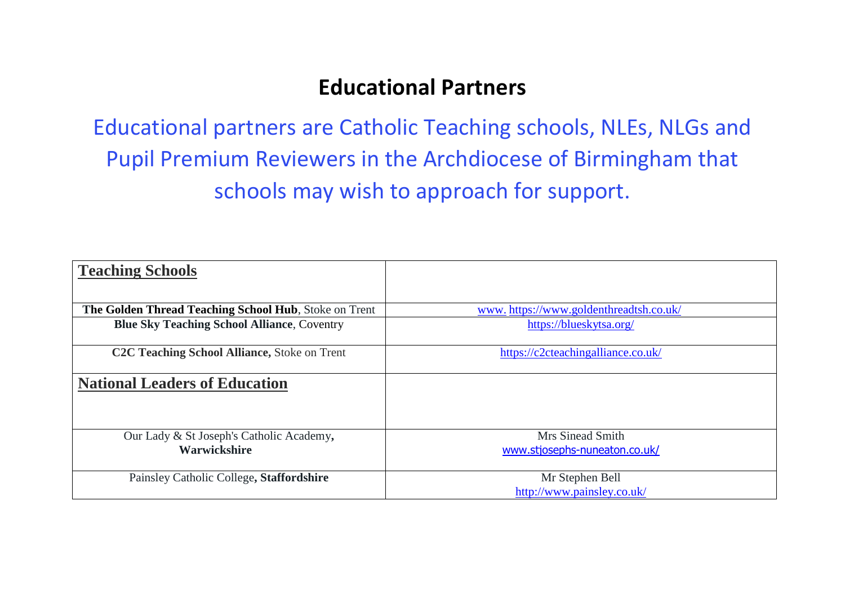## **Educational Partners**

Educational partners are Catholic Teaching schools, NLEs, NLGs and Pupil Premium Reviewers in the Archdiocese of Birmingham that schools may wish to approach for support.

| <b>Teaching Schools</b>                                   |                                                   |
|-----------------------------------------------------------|---------------------------------------------------|
|                                                           |                                                   |
| The Golden Thread Teaching School Hub, Stoke on Trent     | www.https://www.goldenthreadtsh.co.uk/            |
| <b>Blue Sky Teaching School Alliance, Coventry</b>        | https://blueskytsa.org/                           |
| C <sub>2</sub> C Teaching School Alliance, Stoke on Trent | https://c2cteachingalliance.co.uk/                |
| <b>National Leaders of Education</b>                      |                                                   |
| Our Lady & St Joseph's Catholic Academy,<br>Warwickshire  | Mrs Sinead Smith<br>www.stjosephs-nuneaton.co.uk/ |
| Painsley Catholic College, Staffordshire                  | Mr Stephen Bell<br>http://www.painsley.co.uk/     |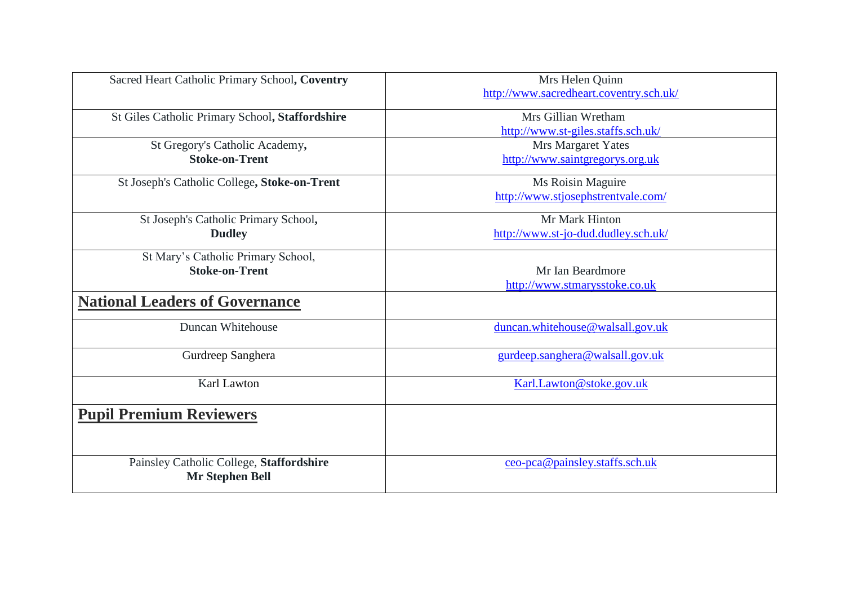| Sacred Heart Catholic Primary School, Coventry                     | Mrs Helen Quinn<br>http://www.sacredheart.coventry.sch.uk/ |
|--------------------------------------------------------------------|------------------------------------------------------------|
| St Giles Catholic Primary School, Staffordshire                    | Mrs Gillian Wretham<br>http://www.st-giles.staffs.sch.uk/  |
| St Gregory's Catholic Academy,<br><b>Stoke-on-Trent</b>            | Mrs Margaret Yates<br>http://www.saintgregorys.org.uk      |
| St Joseph's Catholic College, Stoke-on-Trent                       | Ms Roisin Maguire<br>http://www.stjosephstrentvale.com/    |
| St Joseph's Catholic Primary School,<br><b>Dudley</b>              | Mr Mark Hinton<br>http://www.st-jo-dud.dudley.sch.uk/      |
| St Mary's Catholic Primary School,<br><b>Stoke-on-Trent</b>        | Mr Ian Beardmore<br>http://www.stmarysstoke.co.uk          |
| <b>National Leaders of Governance</b>                              |                                                            |
| Duncan Whitehouse                                                  | duncan.whitehouse@walsall.gov.uk                           |
| Gurdreep Sanghera                                                  | gurdeep.sanghera@walsall.gov.uk                            |
| Karl Lawton                                                        | Karl.Lawton@stoke.gov.uk                                   |
| <b>Pupil Premium Reviewers</b>                                     |                                                            |
| Painsley Catholic College, Staffordshire<br><b>Mr Stephen Bell</b> | ceo-pca@painsley.staffs.sch.uk                             |